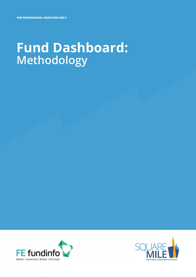# **Fund Dashboard: Methodology**



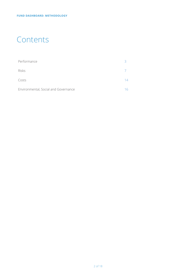### **Contents**

| Performance                          |    |
|--------------------------------------|----|
| <b>Risks</b>                         |    |
| Costs                                | 14 |
| Environmental, Social and Governance |    |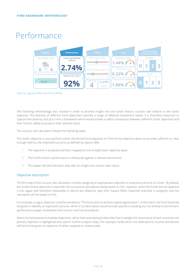# Performance



Source: Square Mile and FE fundinfo

The following methodology was created in order to provide insight into the fund's historic success rate relative to the fund's objective. The diversity of different fund objectives matches a range of different investment needs. It is therefore important to capture this diversity and put it into a framework which would enable a useful comparison between different funds' objectives and their historic ability to produce their desired result.

The success rate calculation follows the following steps:

The fund's objective is sourced from either the formal fund objective or if the formal objective does not provide sufficient or clear enough metrics, the expected outcome as defined by Square Mile.

- 1. The objective is analysed and then mapped to one of eight basic objective types
- 2. The fund's historic performance is measured against a relevant benchmark
- 3. This paper will describe each step with an insight into various data inputs.

#### Objective description

The first step of the success rate calculation involves assigning an appropriate objective or expected outcome to a fund. By default, the fund's formal objective is used with the successive calculations being based on this. However, when the fund's formal objective is too vague and therefore impossible to derive any objective type then Square Mile's Expected outcome is assigned, and the calculation will be based on this.

For example, a vague objective could be worded as: "The fund aims to achieve capital appreciation". In this event, the fund would be analysed to identify an expected outcome, which in its description would include specifics including but not limited to benchmark, performance target, investment time horizon and risk boundaries.

When the fund presents multiple objectives, rather than attempting to describe how to weight the importance of each outcome, the primary objective is highlighted and used in further analysis steps. For example, funds which are dedicated to income distribution will tend to be given an objective of either targeted or relative yield.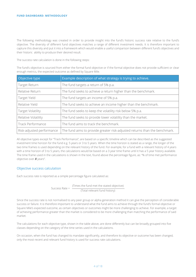The following methodology was created in order to provide insight into the fund's historic success rate relative to the fund's objective. The diversity of different fund objectives matches a range of different investment needs. It is therefore important to capture this diversity and put it into a framework which would enable a useful comparison between different fund's objectives and their historic ability to produce their desired result.

The success rate calculation is done in the following steps:

The fund's objective is sourced from either the formal fund objective or if the formal objective does not provide sufficient or clear enough metrics, the expected outcome as defined by Square Mile.

| Objective type            | Example description of what strategy is trying to achieve.                 |
|---------------------------|----------------------------------------------------------------------------|
| Target Return             | The fund targets a return of 5% p.a.                                       |
| Relative Return           | The fund seeks to achieve a return higher than the benchmark.              |
| Target Yield              | The fund targets an income of 5% p.a.                                      |
| Relative Yield            | The fund seeks to achieve an income higher than the benchmark.             |
| Target Volatility         | The fund seeks to keep the volatility risk below 5% p.a.                   |
| Relative Volatility       | The fund seeks to provide lower volatility than the market.                |
| Track Performance         | The fund aims to track the benchmark.                                      |
| Risk-adjusted performance | The fund aims to provide greater risk-adjusted returns than the benchmark. |

All objective types except for "Track Performance", are based on a specific timeline which can be described as the suggested investment time horizon for the fund e.g. 5 years or 3 to 5 years. When the time horizon is stated as a range, the longer of the two time frames is used depending on the relevant history of the fund. For example, for a fund with a relevant history of 4 years with a time horizon of 3 to 5 years, the calculations would be based on a 3 year time frame until it has a 5 year history available. The time frame used in the calculations is shown in the text, found above the percentage figure, as: "% of time met performance objective over *X* years".

#### Objective success calculation

Each success rate is reported as a simple percentage figure calculated as:

Success Rate =  $\frac{\text{(Times the fund met the stated objective)}}{\text{Total area}}$ (Total relevant fund history)

Since the success rate is not normalised to any peer group or alpha generation method it can give the perception of considerable success or failure. It is therefore important to understand what the fund aims to achieve through the fund's formal objective or Square Mile's expected outcome, as certain objectives or outcomes might be more challenging to achieve. For example, a target of achieving performance greater than the market is considered to be more challenging than matching the performance of said market.

The calculations for each objective type, shown in the table above, are done differently but can be broadly grouped into five classes depending on the category of the time series used in the calculations.

On occasion, when the fund has changed its mandate significantly, and therefore its objective or outcome has been changed, only the most recent and relevant fund history is used for success rate calculations.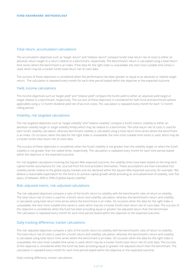#### Total return, accumulation calculations

The accumulation objectives such as "target return" and "relative return" compare funds' total return net of costs to either an absolute return target or a return relative to a benchmark, respectively. The benchmark's return is calculated using a total return time series where the benchmark is an index. If the data for the right index is unavailable, the next most suitable time series is used, which may be a tracker fund's total return net of costs data.

The success of these objectives is considered when the performance has been greater or equal to an absolute or relative target return. The calculation is repeated every month for each time period stated within the objective or the expected outcome.

#### Yield, income calculations

The income objectives such as "target yield" and "relative yield" compare the fund's yield to either an absolute yield target or target relative to a benchmark, respectively. The success of these objectives is considered for both fund and benchmark (where applicable) using a 12 month dividend yield net of tax (not costs). The calculation is repeated every month for each 12 month rolling period.

#### Volatility, risk targeted calculations

The risk targeted objectives such as "target volatility" and "relative volatility" compare a fund's historic volatility to either an absolute volatility target or single volatility limit(s) which may be relative to a benchmark. The total return net of costs is used for each fund's volatility calculation, whereas benchmark volatility is calculated using a total return time series where the benchmark is an index. On occasion, when the data for the right index is unavailable, the next most suitable time series is used, which may be a tracker fund's total return net of costs data.

The success of these objectives is considered, when the fund's volatility is not greater than the volatility target, or when the fund's volatility is not greater than the stated limits, respectively. The calculation is repeated every month for each time period stated within the objective or the expected outcome.

For risk targeted calculations involving the Square Mile expected outcome, the volatility limits have been based on the long-term capital market assumptions for risk, sourced from the fund providers themselves. These assumptions are then translated into volatility bands relative to the global equity markets and are declared within the Square Mile expected outcome, for example: "We believe a reasonable expectation for the fund is to achieve capital growth whilst providing an annualised level of volatility, over five years, of between 30% to 50% of global equity volatility".

#### Risk–adjusted metric, risk–adjusted calculations

The risk–adjusted objectives compare a ratio of the fund's return to volatility with the benchmark's ratio of return to volatility. The total return net of costs is used for a fund's return and volatility calculation, whereas the benchmark's return and volatility is calculated using total return time series where the benchmark is an index. On occasion when the data for the right index is unavailable, the next most suitable time series is used, which may be a tracker fund's total return net of costs data. The success of this objective is considered, when the fund has been providing equal or greater risk-adjusted return than the benchmark. The calculation is repeated every month for each time period stated within the objective or the expected outcome.

#### Daily tracking difference, tracker calculations

The risk–adjusted objectives compare a ratio of the fund's return to volatility with the benchmark's ratio of return to volatility. The total return net of costs is used for a fund's return and volatility calculation, whereas the benchmark's return and volatility is calculated using total return time series where the benchmark is an index. On occasion when the data for the right index is unavailable, the next most suitable time series is used, which may be a tracker fund's total return net of costs data. The success of this objective is considered when the fund has been providing equal or greater risk-adjusted return than the benchmark. The calculation is repeated every month for each time period stated within the objective or the expected outcome.

Daily tracking difference, tracker calculations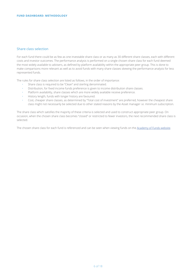### Share class selection

For each fund there could be as few as one investable share class or as many as 30 different share classes, each with different costs and investor outcomes. The performance analysis is performed on a single chosen share class for each fund deemed the most widely available to advisers, as defined by platform availability within the appropriate peer group. This is done to make comparisons more relevant as well as to avoid funds with many share classes skewing the performance analysis for less represented funds.

The rules for share class selection are listed as follows, in the order of importance:

- Share class is required to be "Clean" and sterling denominated.
- Distribution, for fixed income funds preference is given to income distribution share classes.
- Platform availability, share classes which are more widely available receive preference.
- History length, funds with longer history are favoured.
- Cost, cheaper share classes, as determined by "Total cost of investment" are preferred, however the cheapest share class might not necessarily be selected due to other stated reasons by the Asset manager i.e. minimum subscription.

The share class which satisfies the majority of these criteria is selected and used to construct appropriate peer group. On occasion, when the chosen share class becomes "closed" or restricted to fewer investors, the next recommended share class is selected.

The chosen share class for each fund is referenced and can be seen when viewing funds on the [Academy of Funds website.](http://www.squaremileresearch.com/Academy-of-Funds)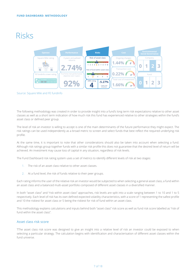# Risks



Source: Square Mile and FE fundinfo

The following methodology was created in order to provide insight into a fund's long term risk expectations relative to other asset classes as well as a short term indication of how much risk this fund has experienced relative to other strategies within the fund's asset class or defined peer group.

The level of risk an investor is willing to accept is one of the main determinants of the future performance they might expect. The risk ratings can be used independently as a broad metric to screen and select funds that best reflect the required underlying risk profile.

At the same time, it is important to note that other considerations should also be taken into account when selecting a fund. Although risk ratings group together funds with a similar risk profile this does not guarantee that the desired level of return will be achieved. An investment may cause loss of capital in any situation, regardless of risk levels.

The Fund Dashboard risk rating system uses a set of metrics to identify different levels of risk at two stages:

- 1. The risk of an asset class relative to other asset classes.
- 2. At a fund level, the risk of funds relative to their peer groups.

Each rating informs the user of the relative risk an investor would be subjected to when selecting a general asset class, a fund within an asset class and a balanced multi-asset portfolio composed of different asset classes in a diversified manner.

In both "asset class" and "risk within asset class" approaches, risk levels are split into a scale ranging between 1 to 10 and 1 to 5 respectively. Each level of risk has its own defined expected volatility characteristics, with a score of 1 representing the safest profile and 10 the riskiest for asset class or 5 being the riskiest for risk of fund within an asset class.

This methodology explains calculations and inputs behind both "asset class" risk score as well as fund risk score labelled as "risk of fund within the asset class".

#### Asset class risk score

TThe asset class risk score was designed to give an insight into a relative level of risk an investor could be exposed to when selecting a particular strategy. The calculation begins with identification and characterisation of different asset classes within the fund universe.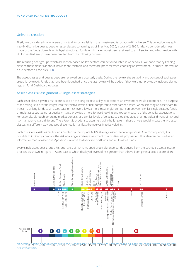#### Universe creation

Firstly, we considered the universe of mutual funds available in the Investment Association (IA) universe. This collection was split into 44 distinctive peer groups, or asset classes containing, as of 31st May 2020, a total of 2,990 funds. No consideration was made of the fund's domicile or its legal structure. Funds which have not yet been assigned to an IA sector and which reside within IA Unclassified group have been omitted from the following process.

The resulting peer groups, which are loosely based on IA's sectors, can be found listed in Appendix 1. We hope that by keeping close to these classifications, it would more relatable and therefore practical when choosing an investment. For more information on IA sectors please click [HERE](https://www.theia.org/industry-data/fund-sectors).

The asset classes and peer groups are reviewed on a quarterly basis. During the review, the suitability and content of each peer group is reviewed. Funds that have been launched since the last review will be added if they were not previously included during regular Fund Dashboard updates.

#### Asset class risk assignment – Single asset strategies

Each asset class is given a risk score based on the long term volatility expectations an investment would experience. The purpose of the rating is to provide insight into the relative levels of risk, compared to other asset classes, when selecting an asset class to invest in. Linking funds to an asset class or risk level allows a more meaningful comparison between similar single strategy funds or multi-asset strategies respectively. It also provides a more forward looking and robust measure of the volatility expectations. For example, although emerging market bonds share similar levels of volatility to global equities their individual drivers of risk and risk management are different. Therefore, it is prudent to assume that in the long term these drivers would impact the two asset classes in a different way and would eventually manifest themselves in price volatility.

Each risk score exists within bounds created by the Square Mile's strategic asset allocation process. As a consequence, it is possible to indirectly compare the risk of a single strategy investment to a multi-asset proposition. This also can be used as an informative map of asset class "positions" relative to diversified portfolios and multi-asset funds.

Every single asset peer group's historic levels of risk is mapped onto risk range bands derived from the strategic asset allocation process, as shown in Figure 1. Asset classes which displayed levels of risk greater than 9 have been given a broad score of 10.



An example 6bowing supprosingte p9stions Af ratious isset des 6s, relaties to 28 dopths2 esd ogs hale p3, sangs0 haded bits different *risk level buckets.*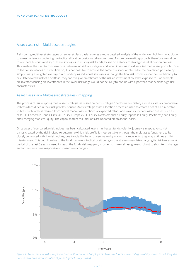#### Asset class risk – Multi-asset strategies

Risk scoring multi-asset strategies on an asset class basis requires a more detailed analysis of the underlying holdings in addition to a mechanism for capturing the tactical allocation positions taken over time. A more pragmatic approach, therefore, would be to compare historic volatility of these strategies to existing risk bands, based on a standard strategic asset allocation process. This enables the user to compare risks between individual strategies and when investing in a diversified multi-asset portfolio. Due to the consequences of diversification, it is not possible to achieve the same risk score attributed to the diversified portfolio by simply taking a weighted average risk of underlying individual strategies. Although the final risk scores cannot be used directly to calculate "overall" risk of a portfolio, they can still give an estimate of the risk an investment could be exposed to. For example, an investor focusing on investments in the lower risk range would not be likely to end up with a portfolio that exhibits high risk characteristics.

#### Asset class risk – Multi-asset strategies - mapping

The process of risk mapping multi-asset strategies is reliant on both strategies' performance history as well as set of comparative indices which differ in their risk profiles. Square Mile's strategic asset allocation process is used to create a set of 10 risk profile indices. Each index is derived from capital market assumptions of expected return and volatility for core asset classes such as: cash, UK Corporate Bonds, Gilts, UK Equity, Europe ex UK Equity, North American Equity, Japanese Equity, Pacific ex Japan Equity and Emerging Markets Equity. The capital market assumptions are updated on an annual basis.

Once a set of comparative risk indices has been calculated, every multi-asset fund's volatility journey is mapped onto risk bands created by the risk indices, to determine which risk profile is most suitable. Although the multi-asset funds tend to be closely correlated with the risk indices, due to volatility being driven mainly by macro market events, they may at times exhibit misalignment. This could be due to the fund manager's tactical positioning or the strategy mandate changing its risk tolerance. A period of the last 5 years is used for each the fund's risk mapping, in order to make risk assignment robust to short term changes and at the same time responsive to longer term changes.



*Figure 2. An example of risk mapping a fund, with a risk band displayed in blue, the fund's 3 year rolling volatility shown in red. Only the*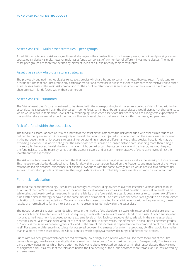#### Asset class risk – Multi-asset strategies – peer groups

An additional outcome of risk rating multi-asset strategies is the construction of multi-asset peer groups. Classifying single asset strategies is relatively simple, however multi-asset funds can consist of any number of different investment classes. The multiasset peer groups are therefore defined by different levels of risk exhibited by their constituents.

#### Asset class risk – Absolute return strategies

The previously outlined methodologies relate to strategies which are bound to certain markets. Absolute return funds tend to provide returns that are unrelated to any particular market and therefore it is less relevant to compare their relative risk to other asset classes. Instead the main risk comparison for the absolute return funds is an assessment of their relative risk to other absolute return funds found within their peer group.

#### Asset class risk - summary

The "risk of asset class" score is designed to be viewed with the corresponding fund risk score labelled as "risk of fund within the asset class". It is possible that in the shorter term some funds, within neighbouring asset classes, would display risk characteristics which would result in their actual levels of risk overlapping. Thus, each asset class risk score serves as a long term expectation of risk and therefore we would expect the funds within each asset class to behave similarly within their assigned peer group.

#### Risk of a fund within the asset class

The fund's risk score, labelled as "risk of fund within the asset class", compares the risk of the fund with other similar funds as defined by their peer group. Since a majority of the risk that a fund is subjected to is dependent on the asset class it is invested in, the purpose the fund risk score is to assist in understanding a range of different styles and strategies these funds may be exhibiting. However, it is worth noting that the asset class score is based on longer historic data, spanning more than a single market cycle. Moreover, the risk the fund manager might be taking can change tactically over time. Hence, we would expect the fund risk score to be more dynamic than the asset risk score and as such more indicative of the relative levels of risk the investment was exposed to.

The risk at the fund level is defined as both the likelihood of experiencing negative returns as well as the severity of those returns. This measure can also be described as ranking funds, within a peer group, based on the frequency and magnitude of their worst returns, based on historical experience. For example, two funds with the same average return would achieve two different risk scores if their return profile is different i.e. they might exhibit different probability of rare events also known as a "fat tail risk".

#### Fund risk - calculation

The fund risk score methodology uses historical weekly returns including dividends over the last three years in order to build a picture of the fund's return profile, which includes statistical measures such as standard deviation, mean, skew and kurtosis. While using backward-looking measures limits the reliability of the future risk forecast it does allow us to compare how different funds with a similar strategy behaved in the same market environment. The asset class risk score is designed to be a more direct indication of future risk expectations. Once a risk score has been computed for all eligible funds within the peer group, these results are normalised to form a 1 to 5 scale which represents funds' "risk within the asset class".

The neutral score of 3 is given to funds which exist in the middle of the absolute risk scale, while scores of 1 and 2 are given to funds which exhibit smaller levels of risk. Consequently, funds with risk scores of 4 and 5 tend to be riskier. At each subsequent risk grade, the investment is exposed to more extreme levels of risk. Each consecutive risk grade within the same asset class describes an equal increase in the amount of absolute fund risk. In other words, the difference in absolute risk between grades of 1 and 2 is the same as between grades of 2 and 3. The size of this increase is dependent on the composition of the asset class itself. For example, difference in absolute risk observed between increments of a uniform asset class, UK Gilts, would be smaller than in a more diverse asset class, like Global Equities which displays a much wider range of different risk profiles.

Funds within a peer group which experienced extremely low or high levels of risk, which caused them to fall out of the 90th percentile range, have been automatically given a minimum risk score of 1 or a maximum score of 5 respectively. This tolerance band acknowledges funds which have performed below and above expected behaviour within their asset classes, thus warning of heightened risk. As a result of the tolerance bands, the final scoring of the funds becomes more reliable as it is less skewed by extreme cases.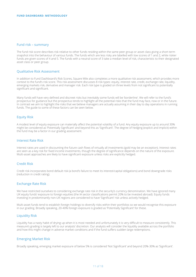#### Fund risk – summary

The fund risk score describes risk relative to other funds residing within the same peer group or asset class giving a short-term snapshot into the behaviour of various funds. The funds which are less risky are labelled with low scores of 1 and 2, while riskier funds are given scores of 4 and 5. The funds with a neutral score of 3 take a median level of risk, characteristic to their designated asset class or peer group.

#### Qualitative Risk Assessment

In addition to Fund Dashboard's Risk Scores, Square Mile also completes a more qualitative risk assessment, which provides more context to the fund's risk score. This risk assessment discusses 8 risk types: equity, interest rate, credit, exchange rate, liquidity, emerging markets risk, derivative and manager risk. Each risk type is graded on three levels from not significant to potentially significant and significant.

Many funds will have very defined and discreet risks but inevitably some funds will be 'borderline'. We will refer to the fund's prospectus for guidance but the prospectus tends to highlight all the potential risks that the fund may face, now or in the future. In contrast we aim to highlight the risks that we believe managers are actually assuming in their day to day operations in running funds. The guide to some of these factors can be seen below.

#### Equity Risk

A modest level of equity exposure can materially affect the potential volatility of a fund. Any equity exposure up to around 30% might be considered as 'Potentially Significant' and beyond this as 'Significant'. The degree of hedging (explicit and implicit) within the fund may be a factor in our grading assessment.

#### Interest Rate Risk

Interest rates are used in discounting the future cash flows of virtually all investments (gold may be an exception). Interest rates are seen as a key risk for fixed income investments, though the degree of significance depends on the nature of the exposure. Multi-asset approaches are likely to have significant exposure unless risks are explicitly hedged.

#### Credit Risk

Credit risk incorporates bond default risk (a bond's failure to meet its interest/capital obligations) and bond downgrade risks (reduction in credit rating).

#### Exchange Rate Risk

We have restricted ourselves to considering exchange rate risk in the security's currency denomination. We have ignored many UK equity funds' exposure to foreign equities (the IA sector classifications permit 20% to be invested abroad). Equity funds investing in predominantly non-UK regions are considered to have 'Significant' risk unless actively hedged.

Multi-asset funds tend to establish foreign holdings to diversify risks within their portfolios so we would recognise this exposure in our grading. Broadly speaking, 20-40% foreign exposure is graded as 'Potentially Significant' for these.

#### Liquidity Risk

Liquidity has a nasty habit of drying up when it is most needed and unfortunately it is very difficult to measure consistently. This measure's grading is largely left to our analysts' discretion. Our analysts will consider the liquidity available across the portfolio and how this might change in adverse market conditions and if the fund suffers sudden large redemptions.

#### Emerging Market Risk

Broadly speaking, emerging market exposure of below 5% is considered 'Not Significant' and beyond 20%-30% as 'Significant'.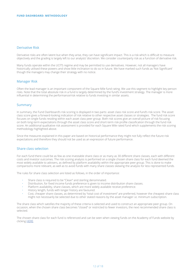#### Derivative Risk

Derivative risks are often latent but when they arise, they can have significant impact. This is a risk which is difficult to measure objectively and the grading is largely left to our analysts' discretion. We consider counterparty risk as a function of derivative risk.

Many funds operate within the UCITS regime and may be permitted to use derivatives. However, not all managers have historically utilised these powers and show little inclination to do so in future. We have marked such funds as 'Not Significant' though the managers may change their strategy with no notice.

#### Manager Risk

Often the lead manager is an important component of the Square Mile fund rating. We use this segment to highlight key person risks. Note that the total absolute risk in a fund is largely determined by the fund's investment strategy. The manager is more influential in determining the performance/risk relative to funds investing in similar assets.

#### **Summary**

In summary, the Fund Dashboard's risk scoring is displayed in two parts: asset class risk score and fund's risk score. The asset class score gives a forward-looking indication of risk relative to other respective asset classes or strategies. The fund risk score focuses on single funds residing within each asset class peer group. Both risk scores give an overall picture of risk focusing on both long-term expectations through the asset class score and short-term risk profile classification through the fund risk score. An additional qualitative risk assessment is provided for each Square Mile rated fund which supplements the risk scoring methodology highlighted above.

Since the measures explained in this paper are based on historical performance they might not fully reflect the future risk expectations and therefore they should not be used as an expression of future performance.

#### Share class selection

For each fund there could be as few as one investable share class or as many as 30 different share classes, each with different costs and investor outcomes. The risk scoring analysis is performed on a single chosen share class for each fund deemed the most widely available to advisers, as defined by platform availability within the appropriate peer group. This is done to make comparisons more relevant, as well as to avoid funds with many share classes skewing the analysis for less represented funds.

The rules for share class selection are listed as follows, in the order of importance:

- Share class is required to be "Clean" and sterling denominated.
- Distribution, for fixed income funds preference is given to income distribution share classes.
- Platform availability, share classes, which are more widely available receive preference.
- History length, funds with longer history are favoured.
- Cost, cheaper share classes, as determined by "total cost of investment" are preferred, however the cheapest share class might not necessarily be selected due to other stated reasons by the asset manager i.e. minimum subscription.

The share class which satisfies the majority of these criteria is selected and used to construct an appropriate peer group. On occasion, when the chosen share class becomes "closed" or restricted to fewer investors, the next recommended share class is selected.

The chosen share class for each fund is referenced and can be seen when viewing funds on the Academy of Funds website by clicking [HERE](http://www.squaremileresearch.com/Academy-of-Funds).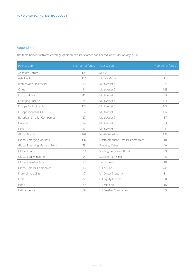### Appendix 1

The table below illustrates coverage of different asset classes considered, as of 31st of May 2020.

| Peer Group                     | Number of funds | Peer Group                       | Number of funds |
|--------------------------------|-----------------|----------------------------------|-----------------|
| Absolute Return                | 126             | <b>MENA</b>                      | 5               |
| Asia Pacific                   | 120             | Money Market                     | 11              |
| Biotech and Healthcare         | 15              | Multi Asset 1                    | $\overline{7}$  |
| China                          | 41              | Multi Asset 2                    | 133             |
| Commodities                    | 41              | Multi Asset 3                    | 83              |
| <b>Emerging Europe</b>         | 14              | Multi Asset 4                    | 118             |
| Europe Excluding UK            | 127             | Multi Asset 5                    | 109             |
| Europe Including UK            | 54              | Multi Asset 6                    | 102             |
| European Smaller Companies     | 27              | Multi Asset 7                    | 37              |
| Financial                      | 14              | Multi Asset 8                    | 23              |
| Gilts                          | 32              | Multi Asset 9                    | $\overline{4}$  |
| Global Bonds                   | 209             | North America                    | 146             |
| <b>Global Emerging Markets</b> | 132             | North American Smaller Companies | 18              |
| Global Emerging Markets Bond   | 78              | Property Other                   | 40              |
| Global Equity                  | 311             | <b>Sterling Corporate Bond</b>   | 99              |
| Global Equity Income           | 54              | Sterling High Yield              | 46              |
| Global Infrastructure          | 17              | Technology                       | 18              |
| Global Smaller Companies       | 13              | UK All Cap                       | 241             |
| Index Linked Gilts             | 17              | UK Direct Property               | 31              |
| India                          | 22              | UK Equity Income                 | 88              |
| Japan                          | 79              | UK Mid Cap                       | 16              |
| Latin America                  | 19              | <b>UK Smaller Companies</b>      | 53              |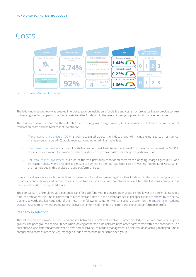### Costs



Source: Square Mile and FE fundinfo

The following methodology was created in order to provide insight on a fund's fee and cost structure as well as to provide context to these figures by comparing the fund's costs to other funds within the relevant peer group and fund management style.

The cost calculation is done on three levels Firstly the ongoing charge figure (OCF) is considered, followed by calculation of transaction costs and the total cost of investment.

- The ongoing charge figure (OCF), is well recognised across the industry and will include expenses such as: annual management charge (AMC), audit, regulatory and other administrative fees.
- 2. The transaction costs are a total of both Transaction Cost Ex-Ante and Incidental Cost Ex-Ante, as defined by MiFID II. These costs are meant to provide a further insight into the overall cost of investing in a particular fund.
- 3. The total cost of investment is a sum of the two previously mentioned metrics: the ongoing charge figure (OCF) and transaction costs, where available. It is meant to summarise the total expected cost of investing into the fund. Costs which are not included in this analysis are any platform charges.

Every cost calculation for each fund is then compared on the value-o-meter against other funds within the same peer group. The reporting standards vary and certain costs, such as transaction costs, may not always be available. The following comparison is therefore limited to the reported costs.

The comparison is formulated as a percentile rank for each fund within a shared peer group i.e. the lower the percentile rank of a fund, the "cheaper" the fund is compared to other similar funds. On the dashboard scale, cheaper funds are shown by the arrow pointing towards the left-hand side of the meter. The following "Value for Money" section, present on the [Square Mile Academy](http://www.squaremileresearch.com/Academy-of-Funds) [website](http://www.squaremileresearch.com/Academy-of-Funds), is used to comment on the fund's relative cost in terms of the fund's historic and expected performance profile.

#### Peer group selection

The value-o-meters provide a useful comparison between a fund's cost relative to other similarly structured products i.e. peer groups. The peer groups are also utilised when looking at the "the fund risk within the asset class" metric within the dashboard. The cost analysis also differentiates between active and passive styles of fund management i.e. the cost of an actively managed fund is compared to costs of other actively managed funds present within the same peer group.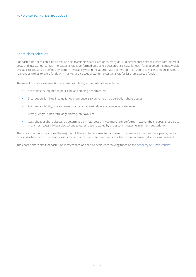#### Share class selection

For each fund there could be as few as one investable share class or as many as 30 different share classes, each with different costs and investor outcomes. The cost analysis is performed on a single chosen share class for each fund deemed the most widely available to advisers, as defined by platform availability within the appropriate peer group. This is done to make comparisons more relevant as well as to avoid funds with many share classes skewing the cost analysis for less represented funds.

The rules for share class selection are listed as follows, in the order of importance:

- Share class is required to be "clean" and sterling denominated.
- Distribution, for fixed income funds preference is given to income distribution share classes.
- Platform availability, share classes which are more widely available receive preference.
- History length, funds with longer history are favoured.
- Cost, cheaper share classes, as determined by "total cost of investment" are preferred, however the cheapest share class might not necessarily be selected due to other reasons stated by the asset manager i.e. minimum subscription.

The share class which satisfies the majority of these criteria is selected and used to construct an appropriate peer group. On occasion, when the chosen share class is "closed" or restricted to fewer investors, the next recommended share class is selected.

The chosen share class for each fund is referenced and can be seen when viewing funds on the [Academy of Funds website](http://www.squaremileresearch.com/Academy-of-Funds).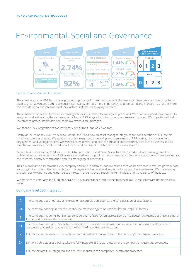# Environmental, Social and Governance



#### Source: Square Mile and FE fundinfo

The consideration of ESG factors is of growing importance in asset management. Successful approaches are increasingly being used to great advantage both to enhance returns and, perhaps more importantly, to understand and manage risk. Furthermore, the consideration and integration of ESG factors is of interest to many investors.

The consideration of ESG factors is increasingly being integrated into investment processes. We have developed an approach to analysing and articulating the various approaches to ESG integration which inform our research process. We hope this will help investors to better understand how their investments are managed.

We analyse ESG integration at two levels for each of the funds which we rate.

Firstly, at the company level, we seek to understand if and how an asset manager integrates the consideration of ESG factors in its investment processes. We assess the policy, resources, monitoring and assessment of ESG factors, risk management, engagement and voting practices. We want to know to what extent these are applied consistently across the business and its investment processes, or left to individual teams and managers to determine their own approach.

Secondly, at the individual fund level, we seek to understand if and how ESG factors are considered in the management of individual funds. We assess how ESG factors are used as an input into the process, which factors are considered, how they impact the research, portfolio construction and risk management processes.

This is a qualitative assessment. Every company and fund is different, and we assess each on its own merits. We use primary data, sourcing it directly from the companies and managers involved and seek evidence to support the assessment. We then overlay this with our experience and expertise as analysts in order to cut through the terminology and make sense of the facts.

We grade each company and fund on a scale of 0-3, in accordance with the definitions below. These scores are not necessarily linear.

#### Company level ESG Integration

| $\Omega$ | The company does not have an explicit, or discernible approach to, the consideration of ESG factors.                                                                                           |
|----------|------------------------------------------------------------------------------------------------------------------------------------------------------------------------------------------------|
| $0+$     | The company has begun work to identify the methodology to be used for introducing ESG factors.                                                                                                 |
|          | The company has some, but limited, consideration of ESG factors across some of its investment teams but these are not a<br>formal part of its investment process.                              |
| $1+$     | The company has made ESG factors available to the investment teams as an input to their analysis, but they are not<br>compelled to consider that as a factor when making investment decisions. |
|          | ESG factors are considered formally but are not instrumental within all of the company's investment processes.                                                                                 |
| $2+$     | Demonstrable steps are being taken to fully integrate ESG factors into all of the company's investment processes.                                                                              |
| 3        | ESG factors are fully integrated and are instrumental to the company's investment processes.                                                                                                   |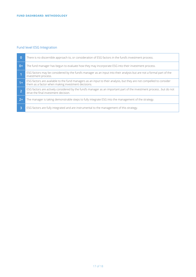### Fund level ESG Integration

| $\mathbf{0}$   | There is no discernible approach to, or consideration of ESG factors in the fund's investment process.                                                                     |
|----------------|----------------------------------------------------------------------------------------------------------------------------------------------------------------------------|
| $0+$           | The fund manager has begun to evaluate how they may incorporate ESG into their investment process.                                                                         |
|                | ESG factors may be considered by the fund's manager as an input into their analysis but are not a formal part of the<br>investment process.                                |
| $1+$           | ESG factors are available to the fund managers as an input to their analysis, but they are not compelled to consider<br>them as a factor when making investment decisions. |
| $\overline{2}$ | ESG factors are actively considered by the fund's manager as an important part of the investment process, but do not<br>drive the final investment decision.               |
| $2+$           | The manager is taking demonstrable steps to fully integrate ESG into the management of the strategy.                                                                       |
| 3              | ESG factors are fully integrated and are instrumental to the management of this strategy.                                                                                  |